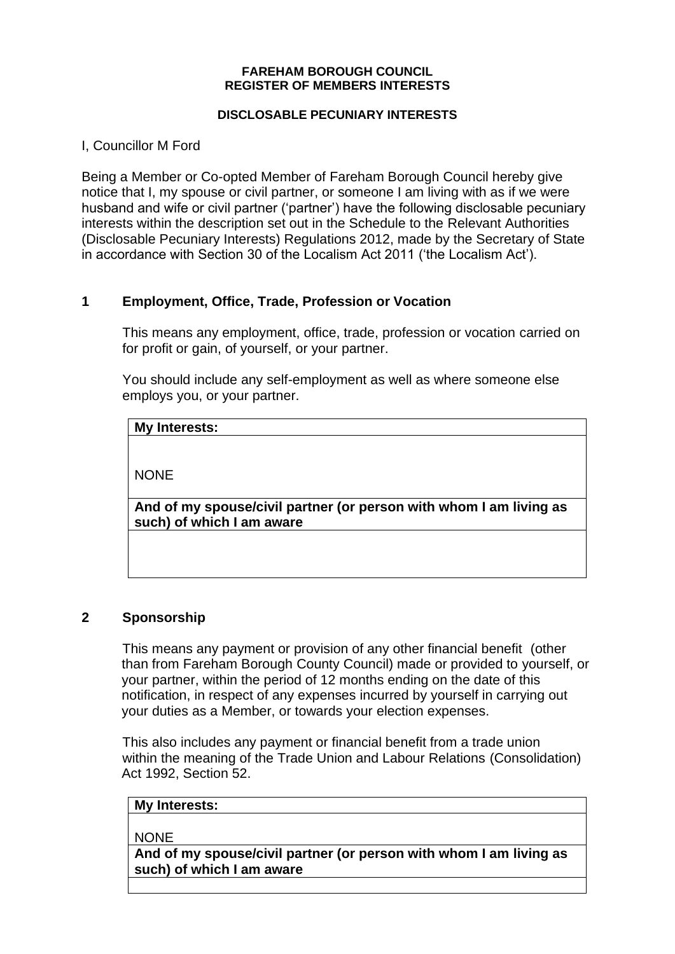#### **FAREHAM BOROUGH COUNCIL REGISTER OF MEMBERS INTERESTS**

#### **DISCLOSABLE PECUNIARY INTERESTS**

I, Councillor M Ford

Being a Member or Co-opted Member of Fareham Borough Council hereby give notice that I, my spouse or civil partner, or someone I am living with as if we were husband and wife or civil partner ('partner') have the following disclosable pecuniary interests within the description set out in the Schedule to the Relevant Authorities (Disclosable Pecuniary Interests) Regulations 2012, made by the Secretary of State in accordance with Section 30 of the Localism Act 2011 ('the Localism Act').

## **1 Employment, Office, Trade, Profession or Vocation**

This means any employment, office, trade, profession or vocation carried on for profit or gain, of yourself, or your partner.

You should include any self-employment as well as where someone else employs you, or your partner.

### **My Interests:**

NONE

**And of my spouse/civil partner (or person with whom I am living as such) of which I am aware**

### **2 Sponsorship**

This means any payment or provision of any other financial benefit (other than from Fareham Borough County Council) made or provided to yourself, or your partner, within the period of 12 months ending on the date of this notification, in respect of any expenses incurred by yourself in carrying out your duties as a Member, or towards your election expenses.

This also includes any payment or financial benefit from a trade union within the meaning of the Trade Union and Labour Relations (Consolidation) Act 1992, Section 52.

#### **My Interests:**

**NONE** 

**And of my spouse/civil partner (or person with whom I am living as such) of which I am aware**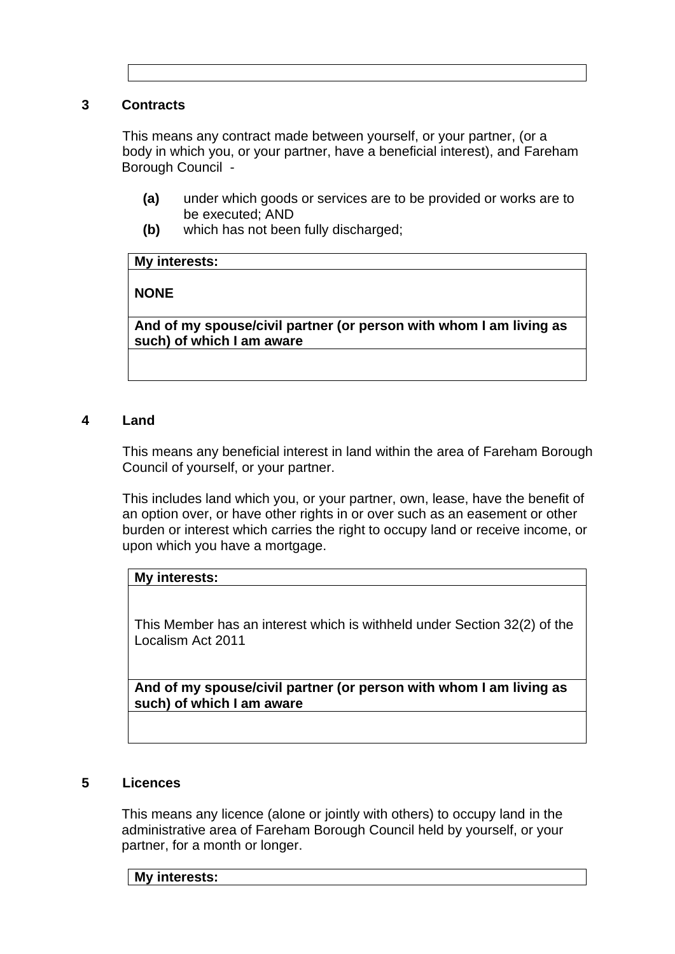#### **3 Contracts**

This means any contract made between yourself, or your partner, (or a body in which you, or your partner, have a beneficial interest), and Fareham Borough Council -

- **(a)** under which goods or services are to be provided or works are to be executed; AND
- **(b)** which has not been fully discharged;

#### **My interests:**

### **NONE**

**And of my spouse/civil partner (or person with whom I am living as such) of which I am aware**

#### **4 Land**

This means any beneficial interest in land within the area of Fareham Borough Council of yourself, or your partner.

This includes land which you, or your partner, own, lease, have the benefit of an option over, or have other rights in or over such as an easement or other burden or interest which carries the right to occupy land or receive income, or upon which you have a mortgage.

#### **My interests:**

This Member has an interest which is withheld under Section 32(2) of the Localism Act 2011

**And of my spouse/civil partner (or person with whom I am living as such) of which I am aware**

#### **5 Licences**

This means any licence (alone or jointly with others) to occupy land in the administrative area of Fareham Borough Council held by yourself, or your partner, for a month or longer.

**My interests:**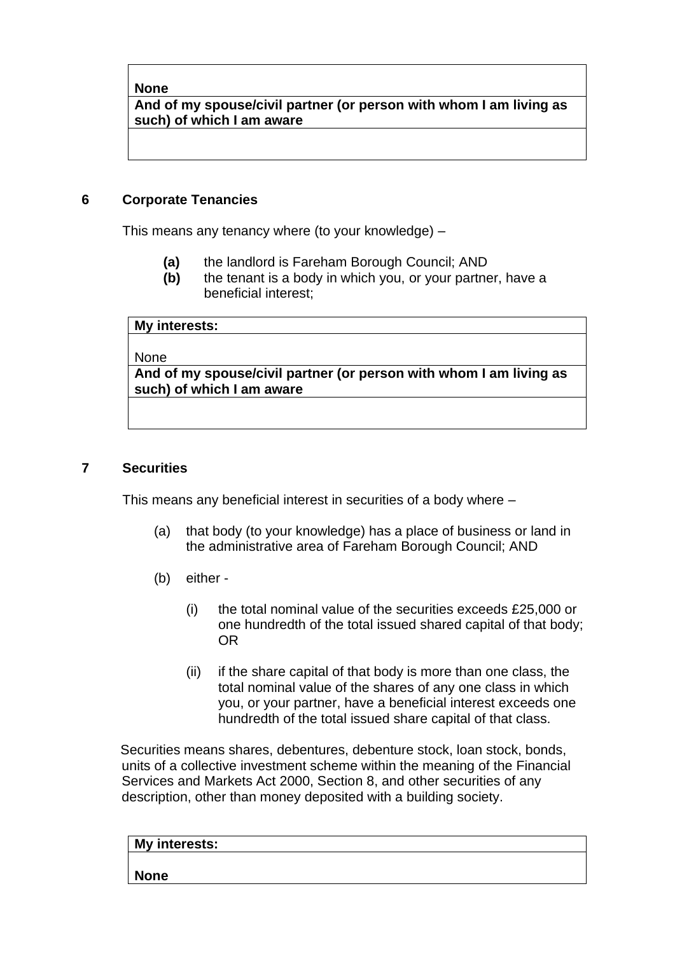**And of my spouse/civil partner (or person with whom I am living as such) of which I am aware**

### **6 Corporate Tenancies**

This means any tenancy where (to your knowledge) –

- **(a)** the landlord is Fareham Borough Council; AND
- **(b)** the tenant is a body in which you, or your partner, have a beneficial interest;

| My interests:                                                      |
|--------------------------------------------------------------------|
|                                                                    |
| <b>None</b>                                                        |
| And of my spouse/civil partner (or person with whom I am living as |
| such) of which I am aware                                          |
|                                                                    |

#### **7 Securities**

This means any beneficial interest in securities of a body where –

- (a) that body (to your knowledge) has a place of business or land in the administrative area of Fareham Borough Council; AND
- (b) either
	- (i) the total nominal value of the securities exceeds £25,000 or one hundredth of the total issued shared capital of that body; OR
	- (ii) if the share capital of that body is more than one class, the total nominal value of the shares of any one class in which you, or your partner, have a beneficial interest exceeds one hundredth of the total issued share capital of that class.

Securities means shares, debentures, debenture stock, loan stock, bonds, units of a collective investment scheme within the meaning of the Financial Services and Markets Act 2000, Section 8, and other securities of any description, other than money deposited with a building society.

| My interests: |  |  |
|---------------|--|--|
|               |  |  |
| <b>None</b>   |  |  |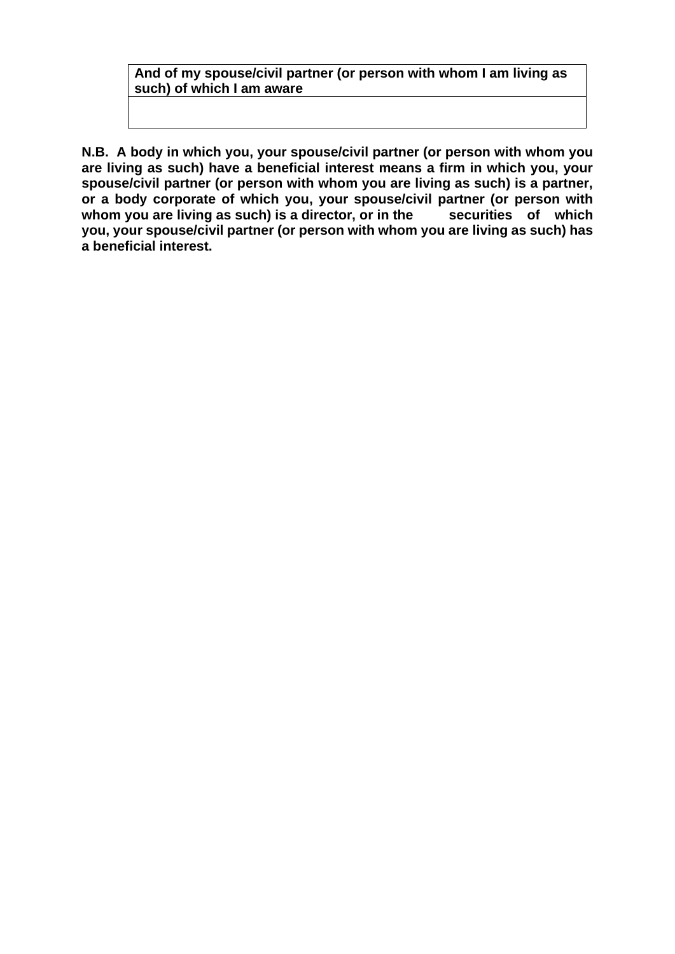# **And of my spouse/civil partner (or person with whom I am living as such) of which I am aware**

**N.B. A body in which you, your spouse/civil partner (or person with whom you are living as such) have a beneficial interest means a firm in which you, your spouse/civil partner (or person with whom you are living as such) is a partner, or a body corporate of which you, your spouse/civil partner (or person with**  whom you are living as such) is a director, or in the securities of which **you, your spouse/civil partner (or person with whom you are living as such) has a beneficial interest.**